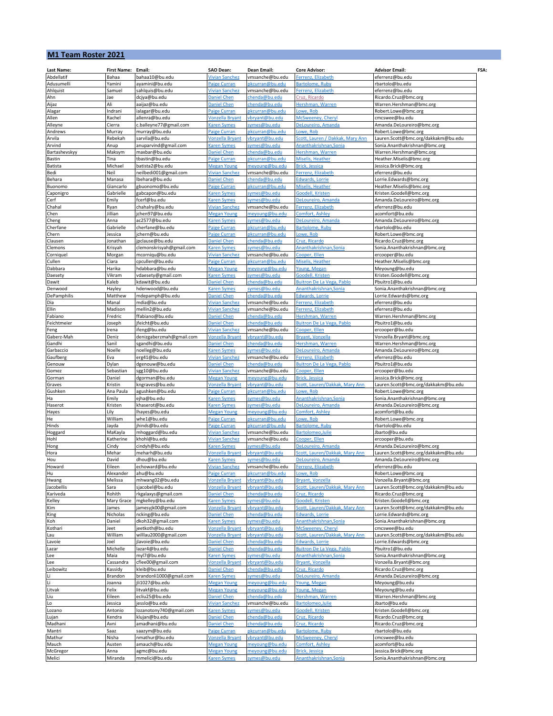## **M1 Team Roster 2021**

| <b>Last Name:</b>    | <b>First Name:</b> | Email:                                     | SAO Dean:                                    | Dean Email:                      | <b>Core Advisor:</b>                                 | FSA:<br><b>Advisor Email:</b>                                    |
|----------------------|--------------------|--------------------------------------------|----------------------------------------------|----------------------------------|------------------------------------------------------|------------------------------------------------------------------|
| Abdellatif           | Bahaa              | bahaa10@bu.edu                             | <b>Vivian Sanchez</b>                        | vmsanche@bu.edu                  | Ferrenz, Elizabeth                                   | eferrenz@bu.edu                                                  |
| Adusumelli           | Yamini             | ayamini@bu.edu                             | <b>Paige Curran</b>                          | pkcurran@bu.edu                  | Bartolome, Ruby                                      | rbartolo@bu.edu                                                  |
| Ahlquist             | Samuel             | sahlquis@bu.edu                            | Vivian Sanchez                               | vmsanche@bu.edu                  | Ferrenz, Elizabeth                                   | eferrenz@bu.edu                                                  |
| Ahn                  | Jae<br>Ali         | dcjya@bu.edu                               | <b>Daniel Chen</b>                           | chenda@bu.edu                    | Cruz, Ricardo<br>Hershman, Warren                    | Ricardo.Cruz@bmc.org                                             |
| Aijaz<br>Alagar      | Indrani            | aaijaz@bu.edu<br>ialagar@bu.edu            | <b>Daniel Chen</b><br>Paige Curran           | chenda@bu.edu<br>pkcurran@bu.edu | owe, Rob.                                            | Warren.Hershman@bmc.org<br>Robert.Lowe@bmc.org                   |
| Allen                | Rachel             | allenra@bu.edu                             | <b>Vonzella Bryant</b>                       | vbryant@bu.edu                   | McSweeney, Cheryl                                    | cmcswee@bu.edu                                                   |
| Alleyne              | Cierra             | c.balleyne77@gmail.com                     | <b>Karen Symes</b>                           | symes@bu.edu                     | DeLoureiro, Amanda                                   | Amanda.DeLoureiro@bmc.org                                        |
| Andrews              | Murray             | murray@bu.edu                              | Paige Curran                                 | pkcurran@bu.edu                  | Lowe, Rob                                            | Robert.Lowe@bmc.org                                              |
| Arvila               | Rebekah            | sarvila@bu.edu                             | <b>Vonzella Bryant</b>                       | vbryant@bu.edu                   | Scott, Lauren / Dakkak, Mary Ann                     | Lauren.Scott@bmc.org/dakkakm@bu.edu                              |
| Arvind               | Anup               | anuparvind@gmail.com                       | <b>Karen Symes</b>                           | symes@bu.edu                     | Ananthakrishnan, Sonia                               | Sonia.Ananthakrishnan@bmc.org                                    |
| Bartashevskyy        | Maksym             | maxbar@bu.edu                              | <b>Daniel Chen</b>                           | chenda@bu.edu                    | Hershman, Warren                                     | Warren.Hershman@bmc.org                                          |
| Bastin               | Tina               | tbastin@bu.edu                             | Paige Curran                                 | pkcurran@bu.edu                  | Miselis, Heather                                     | Heather.Miselis@bmc.org                                          |
| <b>Batista</b>       | Michael            | batista2@bu.edu                            | <b>Megan Young</b>                           | meyoung@bu.edu                   | <b>Brick, Jessica</b>                                | Jessica.Brick@bmc.org                                            |
| Bedi                 | Neil               | neilbedi001@gmail.com                      | <b>Vivian Sanchez</b>                        | vmsanche@bu.edu                  | Ferrenz, Elizabeth                                   | eferrenz@bu.edu                                                  |
| Behara               | Manasa             | lbehara@bu.edu                             | <b>Daniel Chen</b>                           | chenda@bu.edu                    | Edwards, Lorrie                                      | Lorrie.Edwards@bmc.org                                           |
| Buonomo              | Giancarlo          | gbuonomo@bu.edu                            | Paige Curran                                 | pkcurran@bu.edu                  | Miselis, Heather                                     | Heather.Miselis@bmc.org                                          |
| Caponigro            | Gabrielle          | gabcapon@bu.edu                            | <b>Karen Symes</b>                           | symes@bu.edu                     | Goodell, Kristen                                     | Kristen.Goodell@bmc.org                                          |
| Cerf                 | Emily              | fcerf@bu.edu                               | Karen Symes                                  | symes@bu.edu                     | DeLoureiro, Amanda                                   | Amanda.DeLoureiro@bmc.org                                        |
| Chahal               | Ryan               | chahalry@bu.edu                            | <b>Vivian Sanchez</b>                        | vmsanche@bu.edu                  | Ferrenz, Elizabeth                                   | eferrenz@bu.edu                                                  |
| Chen                 | Jillian<br>Anna    | jchen97@bu.edu<br>ac2577@bu.edu            | <b>Megan Young</b><br><b>Karen Symes</b>     | meyoung@bu.edu<br>symes@bu.edu   | Comfort, Ashley<br>DeLoureiro, Amanda                | acomfort@bu.edu<br>Amanda.DeLoureiro@bmc.org                     |
| Cheng<br>Cherfane    | Gabrielle          | cherfane@bu.edu                            | <b>Paige Curran</b>                          | pkcurran@bu.edu                  | Bartolome, Ruby                                      | rbartolo@bu.edu                                                  |
| Chern                | Jessica            | ichern@bu.edu                              | <b>Paige Curran</b>                          | pkcurran@bu.edu                  | Lowe, Rob                                            | Robert.Lowe@bmc.org                                              |
| Clausen              | Jonathan           | jpclause@bu.edu                            | <b>Daniel Chen</b>                           | chenda@bu.edu                    | Cruz, Ricardo                                        | Ricardo.Cruz@bmc.org                                             |
| Clemons              | Krisyah            | clemonskrisyah@gmail.com                   | <b>Karen Symes</b>                           | symes@bu.edu                     | Ananthakrishnan, Sonia                               | Sonia.Ananthakrishnan@bmc.org                                    |
| Corniquel            | Morgan             | mcorniqu@bu.edu                            | <b>Vivian Sanchez</b>                        | vmsanche@bu.edu                  | Cooper, Ellen                                        | ercooper@bu.edu                                                  |
| Cullen               | Ciara              | cpcullen@bu.edu                            | Paige Curran                                 | pkcurran@bu.edu                  | Miselis, Heather                                     | Heather.Miselis@bmc.org                                          |
| Dabbara              | Harika             | hdabbara@bu.edu                            | <b>Megan Young</b>                           | meyoung@bu.edu                   | Young, Megan                                         | Meyoung@bu.edu                                                   |
| Daesety              | Vikram             | vdaesety@gmail.com                         | <b>Karen Symes</b>                           | symes@bu.edu                     | Goodell, Kristen                                     | Kristen.Goodell@bmc.org                                          |
| Dawit                | Kaleb              | kdawit@bu.edu                              | <b>Daniel Chen</b>                           | chenda@bu.edu                    | Buitron De La Vega, Pablo                            | Pbuitro1@bu.edu                                                  |
| Denwood              | Hayley             | hdenwood@bu.edu                            | <b>Karen Symes</b>                           | symes@bu.edu                     | Ananthakrishnan, Sonia                               | Sonia.Ananthakrishnan@bmc.org                                    |
| DePamphilis          | Matthew            | mdepamph@bu.edu                            | <b>Daniel Chen</b>                           | chenda@bu.edu                    | <b>Edwards, Lorrie</b>                               | Lorrie.Edwards@bmc.org                                           |
| Dia                  | Manal              | mdia@bu.edu                                | Vivian Sanchez                               | vmsanche@bu.edu                  | Ferrenz, Elizabeth                                   | eferrenz@bu.edu                                                  |
| Ellin                | Madison            | mellin2@bu.edu                             | <b>Vivian Sanchez</b>                        | vmsanche@bu.edu                  | Ferrenz, Elizabeth                                   | eferrenz@bu.edu                                                  |
| Fabiano              | Fredric            | ffabiano@bu.edu                            | <b>Daniel Chen</b>                           | chenda@bu.edu                    | Hershman, Warren                                     | Warren.Hershman@bmc.org                                          |
| Feichtmeier          | Joseph             | jfeicht@bu.edu                             | <b>Daniel Chen</b><br>Vivian Sanchez         | chenda@bu.edu                    | Buitron De La Vega, Pablo<br>Cooper, Ellen           | Pbuitro1@bu.edu                                                  |
| Feng                 | Irena<br>Deniz     | ifeng@bu.edu                               |                                              | vmsanche@bu.edu                  | <b>Bryant, Vonzella</b>                              | ercooper@bu.edu                                                  |
| Gaberz-Mah<br>Gandhi | Sanil              | denizgaberzmah@gmail.com<br>sgandhi@bu.edu | <b>Vonzella Bryant</b><br><b>Daniel Chen</b> | vbryant@bu.edu<br>chenda@bu.edu  | Hershman, Warren                                     | Vonzella.Bryant@bmc.org<br>Warren.Hershman@bmc.org               |
| Garbaccio            | Noelle             | noelleg@bu.edu                             | <b>Karen Symes</b>                           | symes@bu.edu                     | DeLoureiro, Amanda                                   | Amanda.DeLoureiro@bmc.org                                        |
| Gaufberg             | Eva                | erg41@bu.edu                               | <b>Vivian Sanchez</b>                        | vmsanche@bu.edu                  | Ferrenz, Elizabeth                                   | eferrenz@bu.edu                                                  |
| Genouw               | Dylan              | dgenouw@bu.edu                             | <b>Daniel Chen</b>                           | chenda@bu.edu                    | Buitron De La Vega, Pablo                            | Pbuitro1@bu.edu                                                  |
| Gomez                | Sebastian          | sgg10@bu.edu                               | <b>Vivian Sanchez</b>                        | vmsanche@bu.edu                  | Cooper, Ellen                                        | ercooper@bu.edu                                                  |
| Gorman               | Daniel             | dgorman@bu.edu                             | <b>Megan Young</b>                           | meyoung@bu.edu                   | Brick, Jessica                                       | Jessica.Brick@bmc.org                                            |
| Graves               | Kristin            | kngraves@bu.edu                            | <b>Vonzella Bryant</b>                       | vbryant@bu.edu                   | Scott, Lauren/Dakkak, Mary Ann                       | Lauren.Scott@bmc.org/dakkakm@bu.edu                              |
| Gushken              | Ana Paula          | agushken@bu.edu                            | Paige Curran                                 | pkcurran@bu.edu                  | Lowe, Rob                                            | Robert.Lowe@bmc.org                                              |
| Ha                   | Emily              | ejha@bu.edu                                | <b>Karen Symes</b>                           | symes@bu.edu                     | Ananthakrishnan, Sonia                               | Sonia.Ananthakrishnan@bmc.org                                    |
| Haserot              | Kristen            | khaserot@bu.edu                            | <b>Karen Symes</b>                           | symes@bu.edu                     | DeLoureiro, Amanda                                   | Amanda.DeLoureiro@bmc.org                                        |
| Hayes                | Lily               | lhayes@bu.edu                              | <b>Megan Young</b>                           | meyoung@bu.edu                   | Comfort, Ashley                                      | acomfort@bu.edu                                                  |
| He                   | William            | whe1@bu.edu                                | Paige Curran                                 | pkcurran@bu.edu                  | Lowe, Rob                                            | Robert.Lowe@bmc.org                                              |
| Hinds                | Jayda              | jhinds@bu.edu                              | Paige Curran                                 | pkcurran@bu.edu                  | Bartolome, Ruby                                      | rbartolo@bu.edu                                                  |
| Hoggard              | MaKayla            | mhoggard@bu.edu                            | <b>Vivian Sanchez</b>                        | vmsanche@bu.edu                  | Bartolomeo, Julie                                    | Jbarto@bu.edu                                                    |
| Hohl                 | Katherine          | khohl@bu.edu                               | <b>Vivian Sanchez</b>                        | vmsanche@bu.edu                  | Cooper, Ellen                                        | ercooper@bu.edu                                                  |
| Hong<br>Hora         | Cindy              | cindyh@bu.edu                              | Karen Symes                                  | symes@bu.edu                     | DeLoureiro, Amanda                                   | Amanda.DeLoureiro@bmc.org                                        |
| Hou                  | Mehar<br>David     | meharh@bu.edu<br>dhou@bu.edu               | <b>Vonzella Bryant</b><br><b>Karen Symes</b> | vbryant@bu.edu<br>symes@bu.edu   | Scott, Lauren/Dakkak, Mary Ann<br>DeLoureiro, Amanda | Lauren.Scott@bmc.org/dakkakm@bu.edu<br>Amanda.DeLoureiro@bmc.org |
| Howard               | Eileen             | echoward@bu.edu                            | <b>Vivian Sanchez</b>                        | vmsanche@bu.edu                  | Ferrenz, Elizabeth                                   | eferrenz@bu.edu                                                  |
| Hu                   | Alexander          | ahu@bu.edu                                 | Paige Curran                                 | pkcurran@bu.edu                  | <u>Lowe, Rob</u>                                     | Robert.Lowe@bmc.org                                              |
| Hwang                | Melissa            | mhwang02@bu.edu                            | Vonzella Bryant                              | vbryant@bu.edu                   | <b>Bryant, Vonzella</b>                              | Vonzella.Bryant@bmc.org                                          |
| Jacobellis           | Sara               | sjacobel@bu.edu                            | <b>Vonzella Bryant</b>                       | vbryant@bu.edu                   | Scott, Lauren/Dakkak, Mary Ann                       | Lauren.Scott@bmc.org/dakkakm@bu.edu                              |
| Kariveda             | Rohith             | rkgalaxys@gmail.com                        | <b>Daniel Chen</b>                           | chenda@bu.edu                    | Cruz, Ricardo                                        | Ricardo.Cruz@bmc.org                                             |
| Kelley               | Mary Grace         | mgkelley@bu.edu                            | <b>Karen Symes</b>                           | symes@bu.edu                     | Goodell, Krister                                     | Kristen.Goodell@bmc.org                                          |
| Kim                  | James              | jamesyjk00@gmail.com                       | <b>Vonzella Bryant</b>                       | vbryant@bu.edu                   | Scott, Lauren/Dakkak, Mary Ann                       | Lauren.Scott@bmc.org/dakkakm@bu.edu                              |
| King                 | Nicholas           | ncking@bu.edu                              | <b>Daniel Chen</b>                           | chenda@bu.edu                    | <b>Edwards, Lorrie</b>                               | Lorrie.Edwards@bmc.org                                           |
| Koh                  | Daniel             | dkoh32@gmail.com                           | <b>Karen Symes</b>                           | symes@bu.edu                     | Ananthakrishnan, Sonia                               | Sonia.Ananthakrishnan@bmc.org                                    |
| Kothari              | Jeet               | jeetkoth@bu.edu                            | <b>Vonzella Bryant</b>                       | vbryant@bu.edu                   | McSweeney, Cheryl                                    | cmcswee@bu.edu                                                   |
| Lau                  | William            | willlau2000@gmail.com                      | <b>Vonzella Bryant</b>                       | vbryant@bu.edu                   | Scott, Lauren/Dakkak, Mary Ann                       | Lauren.Scott@bmc.org/dakkakm@bu.edu                              |
| Lavoie               | Joel               | jlavoie@bu.edu                             | <b>Daniel Chen</b>                           | chenda@bu.edu                    | <b>Edwards, Lorrie</b>                               | Lorrie.Edwards@bmc.org                                           |
| Lazar                | Michelle           | lazar4@bu.edu                              | <b>Daniel Chen</b>                           | chenda@bu.edu                    | Buitron De La Vega, Pablo                            | Pbuitro1@bu.edu                                                  |
| Lee                  | Maia<br>Cassandra  | myl7@bu.edu<br>cflee00@gmail.com           | <b>Karen Symes</b>                           | symes@bu.edu<br>vbryant@bu.edu   | Ananthakrishnan, Sonia<br>Bryant, Vonzella           | Sonia.Ananthakrishnan@bmc.org<br>Vonzella.Bryant@bmc.org         |
| Lee<br>Leibowitz     | Kassidy            | kleib@bu.edu                               | <b>Vonzella Bryant</b><br><b>Daniel Chen</b> | chenda@bu.edu                    | Cruz, Ricardo                                        | Ricardo.Cruz@bmc.org                                             |
|                      | Brandon            | brandonli1000@gmail.com                    | <b>Karen Symes</b>                           | symes@bu.edu                     | DeLoureiro, Amanda                                   | Amanda.DeLoureiro@bmc.org                                        |
| Li                   | Joanna             | jli1027@bu.edu                             | <b>Megan Young</b>                           | meyoung@bu.edu                   | Young, Megan                                         | Meyoung@bu.edu                                                   |
| Litvak               | Felix              | litvakf@bu.edu                             | <b>Megan Young</b>                           | meyoung@bu.edu                   | Young, Megan                                         | Meyoung@bu.edu                                                   |
| Liu                  | Eileen             | ecliu25@bu.edu                             | <b>Daniel Chen</b>                           | chenda@bu.edu                    | Hershman, Warren                                     | Warren.Hershman@bmc.org                                          |
| Lo                   | Jessica            | jesslo@bu.edu                              | <b>Vivian Sanchez</b>                        | vmsanche@bu.edu                  | Bartolomeo, Julie                                    | Jbarto@bu.edu                                                    |
| Lozano               | Antonio            | lozanotony740@gmail.com                    | <b>Karen Symes</b>                           | symes@bu.edu                     | Goodell, Kristen                                     | Kristen.Goodell@bmc.org                                          |
| Lujan                | Kendra             | klujan@bu.edu                              | <b>Daniel Chen</b>                           | chenda@bu.edu                    | Cruz, Ricardo                                        | Ricardo.Cruz@bmc.org                                             |
| Madhani              | Avni               | amadhani@bu.edu                            | <b>Daniel Chen</b>                           | chenda@bu.edu                    | Cruz, Ricardo                                        | Ricardo.Cruz@bmc.org                                             |
| Mantri               | Saaz               | saazym@bu.edu                              | <b>Paige Curran</b>                          | pkcurran@bu.edu                  | <b>Bartolome, Ruby</b>                               | rbartolo@bu.edu                                                  |
| Mathur               | Nisha              | nmathur@bu.edu                             | <b>Vonzella Bryant</b>                       | vbryant@bu.edu                   | McSweeney, Cheryl                                    | cmcswee@bu.edu                                                   |
| Mauch                | Austen             | amauch@bu.edu                              | <b>Megan Young</b>                           | meyoung@bu.edu                   | Comfort, Ashley                                      | acomfort@bu.edu                                                  |
| McGregor             | Anna               | agmc@bu.edu                                | <b>Megan Young</b>                           | meyoung@bu.edu                   | <b>Brick, Jessica</b>                                | Jessica.Brick@bmc.org                                            |
| Melici               | Miranda            | mmelici@bu.edu                             | <b>Karen Symes</b>                           | symes@bu.edu                     | Ananthakrishnan, Sonia                               | Sonia.Ananthakrishnan@bmc.org                                    |